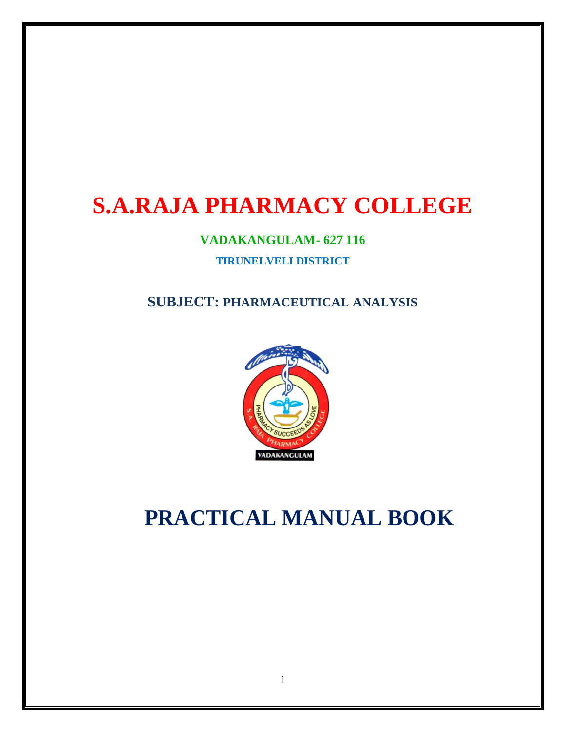# **S.A.RAJA PHARMACY COLLEGE**

### **VADAKANGULAM- 627 116**

#### **TIRUNELVELI DISTRICT**

# **SUBJECT: PHARMACEUTICAL ANALYSIS**



# **PRACTICAL MANUAL BOOK**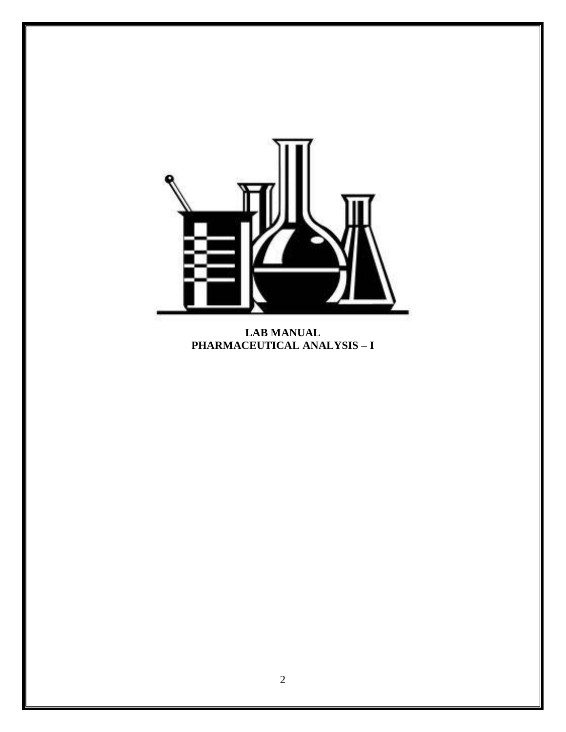

**LAB MANUAL PHARMACEUTICAL ANALYSIS – I**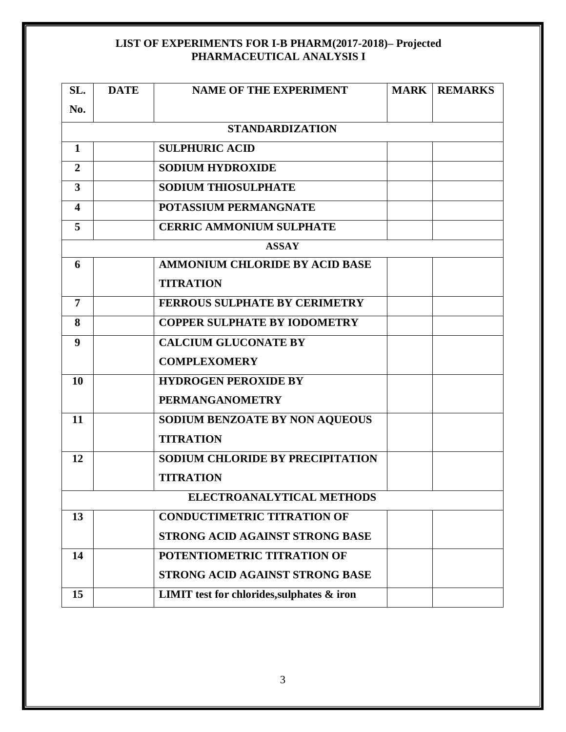### **LIST OF EXPERIMENTS FOR I-B PHARM(2017-2018)– Projected PHARMACEUTICAL ANALYSIS I**

| SL.                     | <b>DATE</b> | <b>NAME OF THE EXPERIMENT</b>                     |  | <b>MARK   REMARKS</b> |  |  |  |  |
|-------------------------|-------------|---------------------------------------------------|--|-----------------------|--|--|--|--|
| No.                     |             |                                                   |  |                       |  |  |  |  |
| <b>STANDARDIZATION</b>  |             |                                                   |  |                       |  |  |  |  |
| 1                       |             | <b>SULPHURIC ACID</b>                             |  |                       |  |  |  |  |
| $\overline{2}$          |             | <b>SODIUM HYDROXIDE</b>                           |  |                       |  |  |  |  |
| 3                       |             | <b>SODIUM THIOSULPHATE</b>                        |  |                       |  |  |  |  |
| $\overline{\mathbf{4}}$ |             | <b>POTASSIUM PERMANGNATE</b>                      |  |                       |  |  |  |  |
| 5                       |             | <b>CERRIC AMMONIUM SULPHATE</b>                   |  |                       |  |  |  |  |
| <b>ASSAY</b>            |             |                                                   |  |                       |  |  |  |  |
| 6                       |             | <b>AMMONIUM CHLORIDE BY ACID BASE</b>             |  |                       |  |  |  |  |
|                         |             | <b>TITRATION</b>                                  |  |                       |  |  |  |  |
| $\overline{7}$          |             | <b>FERROUS SULPHATE BY CERIMETRY</b>              |  |                       |  |  |  |  |
| 8                       |             | <b>COPPER SULPHATE BY IODOMETRY</b>               |  |                       |  |  |  |  |
| 9                       |             | <b>CALCIUM GLUCONATE BY</b>                       |  |                       |  |  |  |  |
|                         |             | <b>COMPLEXOMERY</b>                               |  |                       |  |  |  |  |
| 10                      |             | <b>HYDROGEN PEROXIDE BY</b>                       |  |                       |  |  |  |  |
|                         |             | <b>PERMANGANOMETRY</b>                            |  |                       |  |  |  |  |
| 11                      |             | SODIUM BENZOATE BY NON AQUEOUS                    |  |                       |  |  |  |  |
|                         |             | <b>TITRATION</b>                                  |  |                       |  |  |  |  |
| 12                      |             | <b>SODIUM CHLORIDE BY PRECIPITATION</b>           |  |                       |  |  |  |  |
|                         |             | <b>TITRATION</b>                                  |  |                       |  |  |  |  |
|                         |             | <b>ELECTROANALYTICAL METHODS</b>                  |  |                       |  |  |  |  |
| 13                      |             | <b>CONDUCTIMETRIC TITRATION OF</b>                |  |                       |  |  |  |  |
|                         |             | <b>STRONG ACID AGAINST STRONG BASE</b>            |  |                       |  |  |  |  |
| 14                      |             | POTENTIOMETRIC TITRATION OF                       |  |                       |  |  |  |  |
|                         |             | <b>STRONG ACID AGAINST STRONG BASE</b>            |  |                       |  |  |  |  |
| 15                      |             | <b>LIMIT</b> test for chlorides, sulphates & iron |  |                       |  |  |  |  |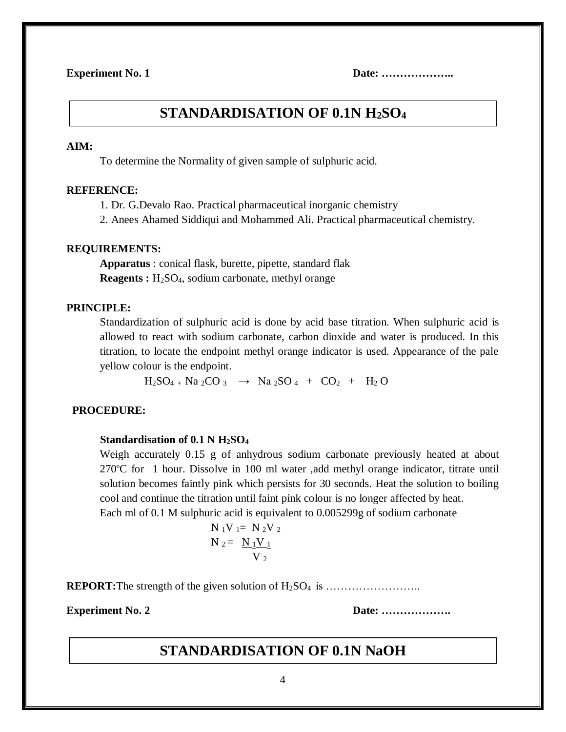## **STANDARDISATION OF 0.1N H2SO4**

#### **AIM:**

To determine the Normality of given sample of sulphuric acid.

#### **REFERENCE:**

1. Dr. G.Devalo Rao. Practical pharmaceutical inorganic chemistry

2. Anees Ahamed Siddiqui and Mohammed Ali. Practical pharmaceutical chemistry.

#### **REQUIREMENTS:**

**Apparatus** : conical flask, burette, pipette, standard flak **Reagents :** H<sub>2</sub>SO<sub>4</sub>, sodium carbonate, methyl orange

#### **PRINCIPLE:**

Standardization of sulphuric acid is done by acid base titration. When sulphuric acid is allowed to react with sodium carbonate, carbon dioxide and water is produced. In this titration, to locate the endpoint methyl orange indicator is used. Appearance of the pale yellow colour is the endpoint.

 $H_2SO_4 + Na_2CO_3 \rightarrow Na_2SO_4 + CO_2 + H_2O$ 

#### **PROCEDURE:**

#### **Standardisation of 0.1 N H2SO<sup>4</sup>**

Weigh accurately 0.15 g of anhydrous sodium carbonate previously heated at about  $270^{\circ}$ C for 1 hour. Dissolve in 100 ml water ,add methyl orange indicator, titrate until solution becomes faintly pink which persists for 30 seconds. Heat the solution to boiling cool and continue the titration until faint pink colour is no longer affected by heat. Each ml of 0.1 M sulphuric acid is equivalent to 0.005299g of sodium carbonate

 $N_1V_1 = N_2V_2$  $N_2 = N_1 V_1$  $V_2$ 

**REPORT:**The strength of the given solution of H2SO<sup>4</sup> is ……………………..

**Experiment No. 2 Date: ……………….**

## **STANDARDISATION OF 0.1N NaOH**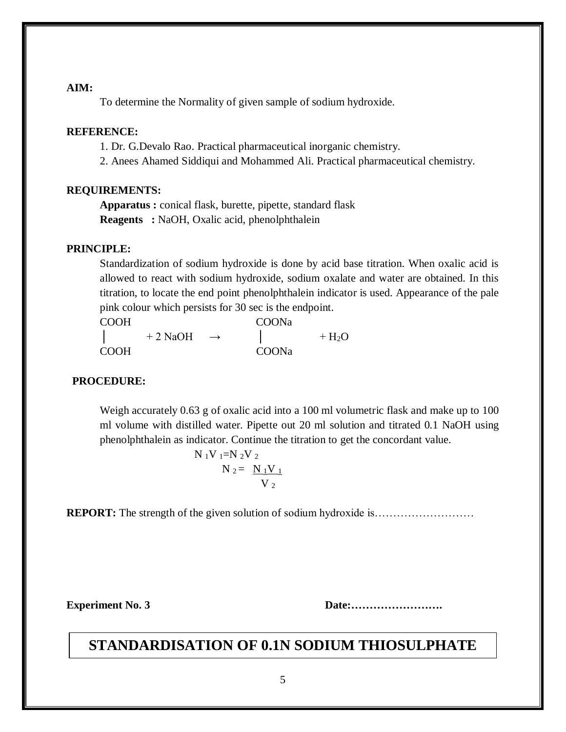#### **AIM:**

To determine the Normality of given sample of sodium hydroxide.

#### **REFERENCE:**

1. Dr. G.Devalo Rao. Practical pharmaceutical inorganic chemistry.

2. Anees Ahamed Siddiqui and Mohammed Ali. Practical pharmaceutical chemistry.

#### **REQUIREMENTS:**

**Apparatus :** conical flask, burette, pipette, standard flask **Reagents :** NaOH, Oxalic acid, phenolphthalein

#### **PRINCIPLE:**

Standardization of sodium hydroxide is done by acid base titration. When oxalic acid is allowed to react with sodium hydroxide, sodium oxalate and water are obtained. In this titration, to locate the end point phenolphthalein indicator is used. Appearance of the pale pink colour which persists for 30 sec is the endpoint.

| <b>COOH</b> |           | COONa         |  |         |
|-------------|-----------|---------------|--|---------|
|             | $+2$ NaOH | $\rightarrow$ |  | $+ H2O$ |
| <b>COOH</b> |           | COONa         |  |         |

#### **PROCEDURE:**

Weigh accurately 0.63 g of oxalic acid into a 100 ml volumetric flask and make up to 100 ml volume with distilled water. Pipette out 20 ml solution and titrated 0.1 NaOH using phenolphthalein as indicator. Continue the titration to get the concordant value.

$$
N_{1}V_{1}=N_{2}V_{2}
$$

$$
N_{2}=\frac{N_{1}V_{1}}{V_{2}}
$$

**REPORT:** The strength of the given solution of sodium hydroxide is……………………………………

**Experiment No. 3 Date:…………………….**

# **STANDARDISATION OF 0.1N SODIUM THIOSULPHATE**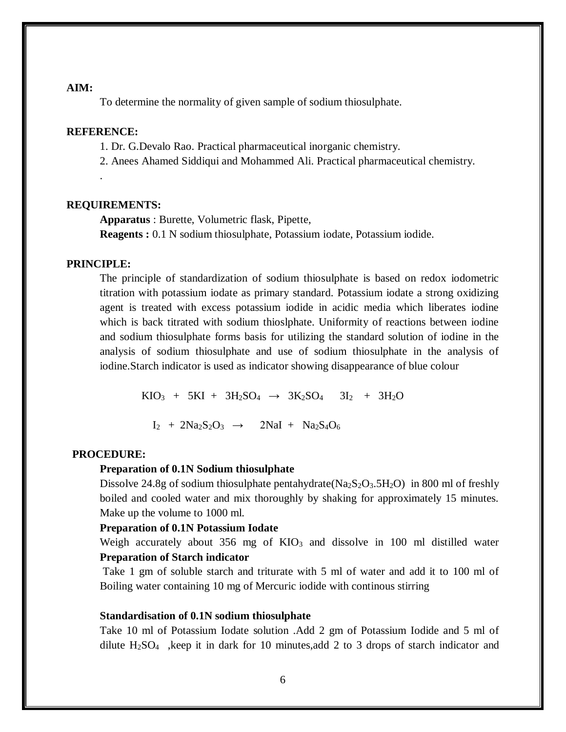#### **AIM:**

To determine the normality of given sample of sodium thiosulphate.

#### **REFERENCE:**

.

1. Dr. G.Devalo Rao. Practical pharmaceutical inorganic chemistry.

2. Anees Ahamed Siddiqui and Mohammed Ali. Practical pharmaceutical chemistry.

#### **REQUIREMENTS:**

**Apparatus** : Burette, Volumetric flask, Pipette, **Reagents :** 0.1 N sodium thiosulphate, Potassium iodate, Potassium iodide.

#### **PRINCIPLE:**

The principle of standardization of sodium thiosulphate is based on redox iodometric titration with potassium iodate as primary standard. Potassium iodate a strong oxidizing agent is treated with excess potassium iodide in acidic media which liberates iodine which is back titrated with sodium thioslphate. Uniformity of reactions between iodine and sodium thiosulphate forms basis for utilizing the standard solution of iodine in the analysis of sodium thiosulphate and use of sodium thiosulphate in the analysis of iodine.Starch indicator is used as indicator showing disappearance of blue colour

> $KIO_3 + 5KI + 3H_2SO_4 \rightarrow 3K_2SO_4$   $3I_2 + 3H_2O$  $I_2$  +  $2Na_2S_2O_3$   $\rightarrow$   $2NaI$  +  $Na_2S_4O_6$

#### **PROCEDURE:**

#### **Preparation of 0.1N Sodium thiosulphate**

Dissolve 24.8g of sodium thiosulphate pentahydrate( $\text{Na}_2\text{S}_2\text{O}_3.5\text{H}_2\text{O}$ ) in 800 ml of freshly boiled and cooled water and mix thoroughly by shaking for approximately 15 minutes. Make up the volume to 1000 ml.

#### **Preparation of 0.1N Potassium Iodate**

Weigh accurately about  $356$  mg of  $KIO<sub>3</sub>$  and dissolve in 100 ml distilled water **Preparation of Starch indicator** 

Take 1 gm of soluble starch and triturate with 5 ml of water and add it to 100 ml of Boiling water containing 10 mg of Mercuric iodide with continous stirring

#### **Standardisation of 0.1N sodium thiosulphate**

Take 10 ml of Potassium Iodate solution .Add 2 gm of Potassium Iodide and 5 ml of dilute H2SO4 ,keep it in dark for 10 minutes,add 2 to 3 drops of starch indicator and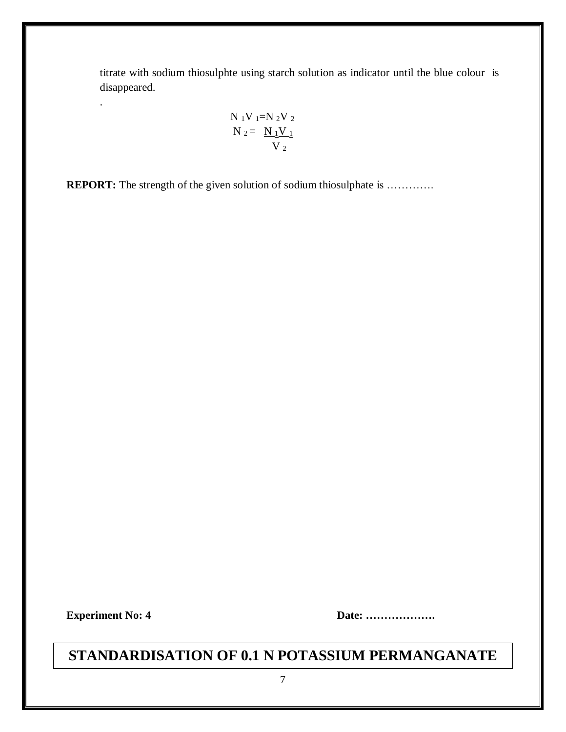titrate with sodium thiosulphte using starch solution as indicator until the blue colour is disappeared.

$$
N_1V_1=N_2V_2N_2 = N_1V_1V_2
$$

**REPORT:** The strength of the given solution of sodium thiosulphate is .............

.

**Experiment No: 4 Date: ……………….**

# **STANDARDISATION OF 0.1 N POTASSIUM PERMANGANATE**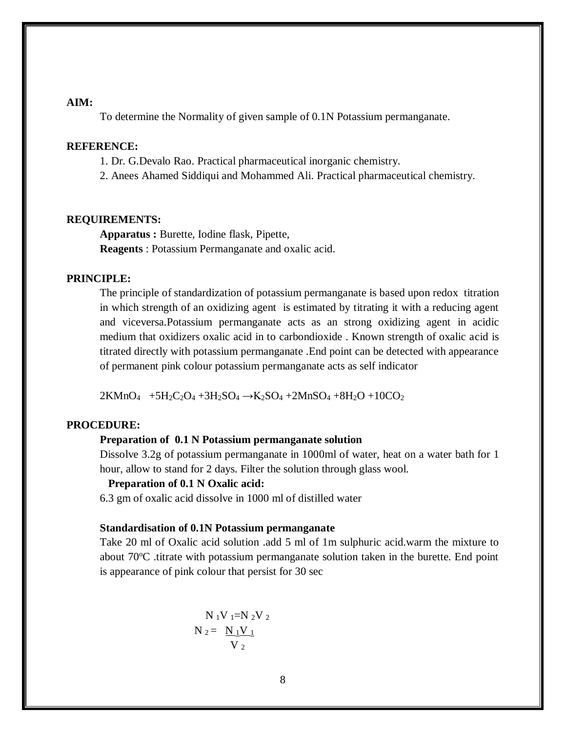#### **AIM:**

To determine the Normality of given sample of 0.1N Potassium permanganate.

#### **REFERENCE:**

- 1. Dr. G.Devalo Rao. Practical pharmaceutical inorganic chemistry.
- 2. Anees Ahamed Siddiqui and Mohammed Ali. Practical pharmaceutical chemistry.

#### **REQUIREMENTS:**

**Apparatus :** Burette, Iodine flask, Pipette, **Reagents** : Potassium Permanganate and oxalic acid.

#### **PRINCIPLE:**

The principle of standardization of potassium permanganate is based upon redox titration in which strength of an oxidizing agent is estimated by titrating it with a reducing agent and viceversa.Potassium permanganate acts as an strong oxidizing agent in acidic medium that oxidizers oxalic acid in to carbondioxide . Known strength of oxalic acid is titrated directly with potassium permanganate .End point can be detected with appearance of permanent pink colour potassium permanganate acts as self indicator

 $2KMnO_4$  +5H<sub>2</sub>C<sub>2</sub>O<sub>4</sub> +3H<sub>2</sub>SO<sub>4</sub> →K<sub>2</sub>SO<sub>4</sub> +2MnSO<sub>4</sub> +8H<sub>2</sub>O +10CO<sub>2</sub>

#### **PROCEDURE:**

#### **Preparation of 0.1 N Potassium permanganate solution**

Dissolve 3.2g of potassium permanganate in 1000ml of water, heat on a water bath for 1 hour, allow to stand for 2 days. Filter the solution through glass wool.

#### **Preparation of 0.1 N Oxalic acid:**

6.3 gm of oxalic acid dissolve in 1000 ml of distilled water

#### **Standardisation of 0.1N Potassium permanganate**

Take 20 ml of Oxalic acid solution .add 5 ml of 1m sulphuric acid.warm the mixture to about  $70^{\circ}$ C .titrate with potassium permanganate solution taken in the burette. End point is appearance of pink colour that persist for 30 sec

$$
N_1V_1=N_2V_2
$$
  

$$
N_2 = N_1V_1
$$
  

$$
V_2
$$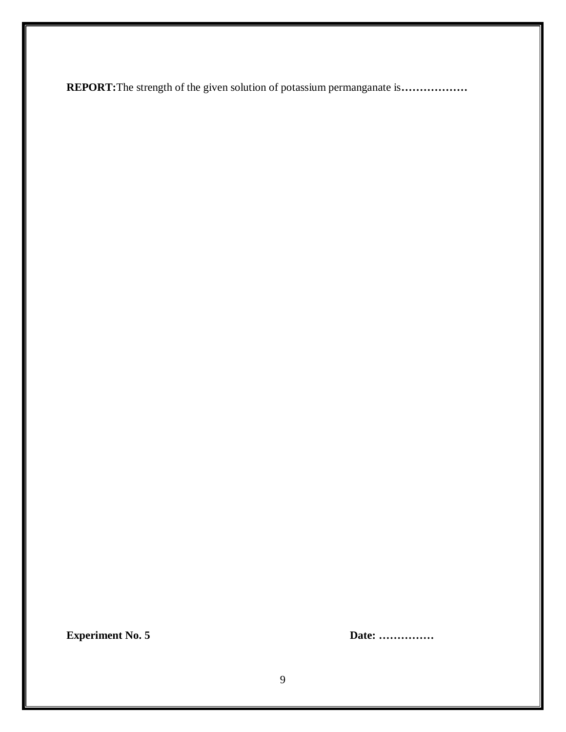**REPORT:**The strength of the given solution of potassium permanganate is**………………**

**Experiment No. 5 Date: ……………**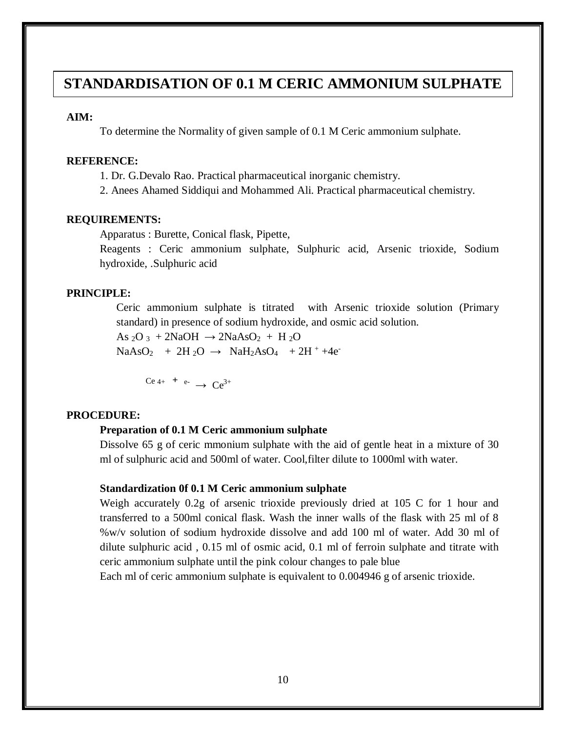# **STANDARDISATION OF 0.1 M CERIC AMMONIUM SULPHATE**

#### **AIM:**

To determine the Normality of given sample of 0.1 M Ceric ammonium sulphate.

#### **REFERENCE:**

- 1. Dr. G.Devalo Rao. Practical pharmaceutical inorganic chemistry.
- 2. Anees Ahamed Siddiqui and Mohammed Ali. Practical pharmaceutical chemistry.

#### **REQUIREMENTS:**

Apparatus : Burette, Conical flask, Pipette,

Reagents : Ceric ammonium sulphate, Sulphuric acid, Arsenic trioxide, Sodium hydroxide, .Sulphuric acid

#### **PRINCIPLE:**

Ceric ammonium sulphate is titrated with Arsenic trioxide solution (Primary standard) in presence of sodium hydroxide, and osmic acid solution.

As  $2O_3$  + 2NaOH  $\rightarrow$  2NaAsO<sub>2</sub> + H  $2O$  $NaAsO<sub>2</sub> + 2H<sub>2</sub>O \rightarrow NaH<sub>2</sub>AsO<sub>4</sub> + 2H<sup>+</sup>+4e<sup>-</sup>$ 

 $Ce$  4+ **+** e-  $\rightarrow Ce^{3+}$ 

#### **PROCEDURE:**

#### **Preparation of 0.1 M Ceric ammonium sulphate**

Dissolve 65 g of ceric mmonium sulphate with the aid of gentle heat in a mixture of 30 ml of sulphuric acid and 500ml of water. Cool,filter dilute to 1000ml with water.

#### **Standardization 0f 0.1 M Ceric ammonium sulphate**

Weigh accurately 0.2g of arsenic trioxide previously dried at 105 C for 1 hour and transferred to a 500ml conical flask. Wash the inner walls of the flask with 25 ml of 8 %w/v solution of sodium hydroxide dissolve and add 100 ml of water. Add 30 ml of dilute sulphuric acid , 0.15 ml of osmic acid, 0.1 ml of ferroin sulphate and titrate with ceric ammonium sulphate until the pink colour changes to pale blue

Each ml of ceric ammonium sulphate is equivalent to 0.004946 g of arsenic trioxide.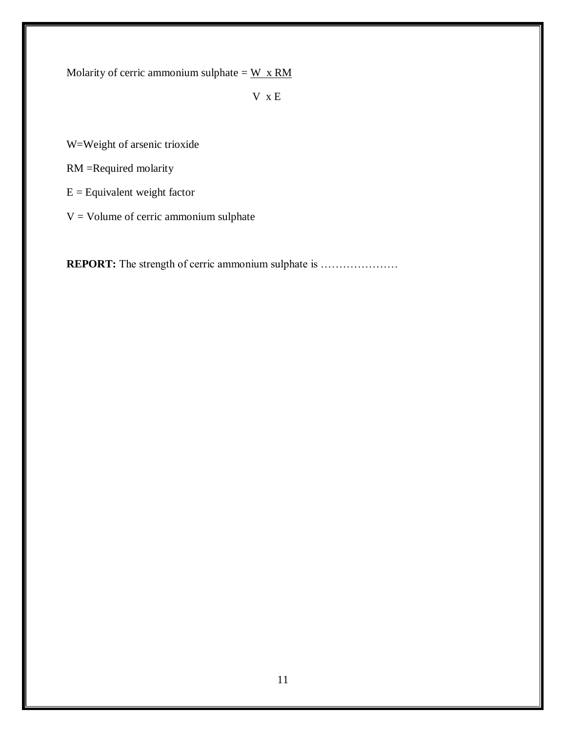Molarity of cerric ammonium sulphate =  $W \times RM$ 

V x E

W=Weight of arsenic trioxide

RM =Required molarity

 $E =$  Equivalent weight factor

 $V =$  Volume of cerric ammonium sulphate

**REPORT:** The strength of cerric ammonium sulphate is ...........................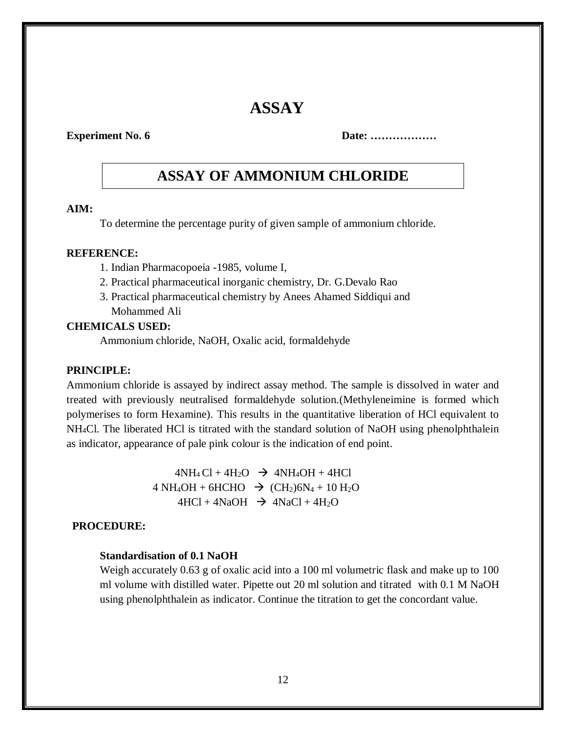# **ASSAY**

**Experiment No. 6 Date: ..................** 

# **ASSAY OF AMMONIUM CHLORIDE**

#### **AIM:**

To determine the percentage purity of given sample of ammonium chloride.

#### **REFERENCE:**

- 1. Indian Pharmacopoeia -1985, volume I,
- 2. Practical pharmaceutical inorganic chemistry, Dr. G.Devalo Rao
- 3. Practical pharmaceutical chemistry by Anees Ahamed Siddiqui and Mohammed Ali

#### **CHEMICALS USED:**

Ammonium chloride, NaOH, Oxalic acid, formaldehyde

#### **PRINCIPLE:**

Ammonium chloride is assayed by indirect assay method. The sample is dissolved in water and treated with previously neutralised formaldehyde solution.(Methyleneimine is formed which polymerises to form Hexamine). This results in the quantitative liberation of HCl equivalent to NH4Cl. The liberated HCl is titrated with the standard solution of NaOH using phenolphthalein as indicator, appearance of pale pink colour is the indication of end point.

> $4NH_4Cl + 4H_2O \rightarrow 4NH_4OH + 4HCl$  $4 NH_4OH + 6HCHO \rightarrow (CH_2)6N_4 + 10 H_2O$  $4HCl + 4NaOH \rightarrow 4NaCl + 4H<sub>2</sub>O$

#### **PROCEDURE:**

#### **Standardisation of 0.1 NaOH**

Weigh accurately 0.63 g of oxalic acid into a 100 ml volumetric flask and make up to 100 ml volume with distilled water. Pipette out 20 ml solution and titrated with 0.1 M NaOH using phenolphthalein as indicator. Continue the titration to get the concordant value.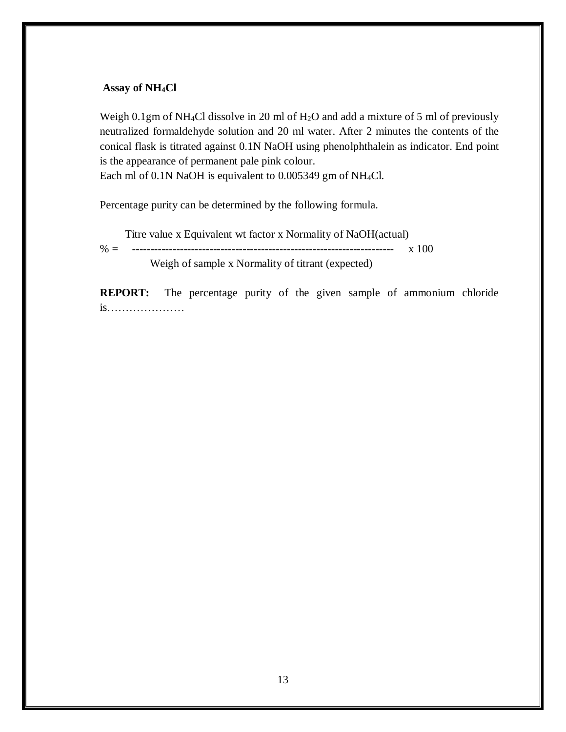#### **Assay of NH4Cl**

Weigh 0.1gm of NH<sub>4</sub>Cl dissolve in 20 ml of H<sub>2</sub>O and add a mixture of 5 ml of previously neutralized formaldehyde solution and 20 ml water. After 2 minutes the contents of the conical flask is titrated against 0.1N NaOH using phenolphthalein as indicator. End point is the appearance of permanent pale pink colour.

Each ml of 0.1N NaOH is equivalent to 0.005349 gm of NH4Cl.

Percentage purity can be determined by the following formula.

Titre value x Equivalent wt factor x Normality of NaOH(actual)

% = ----------------------------------------------------------------------- x 100

Weigh of sample x Normality of titrant (expected)

**REPORT:** The percentage purity of the given sample of ammonium chloride is…………………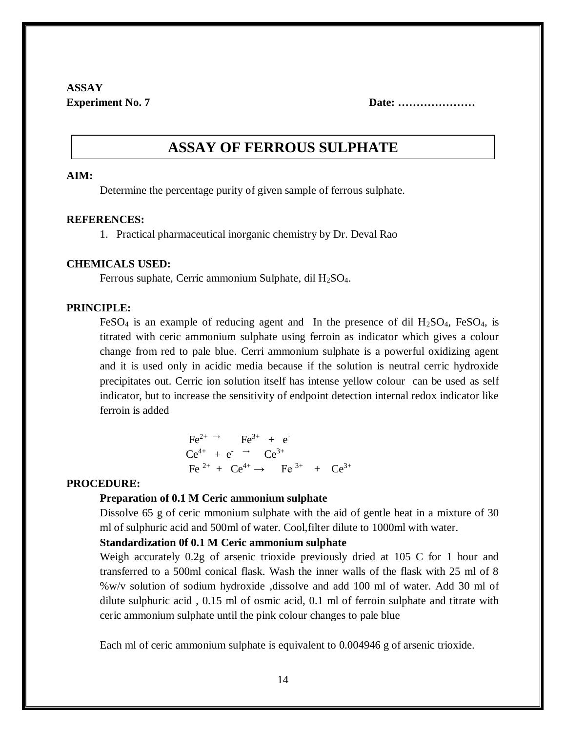# **ASSAY**

**Experiment No. 7 Date: ......................** 

# **ASSAY OF FERROUS SULPHATE**

#### **AIM:**

Determine the percentage purity of given sample of ferrous sulphate.

#### **REFERENCES:**

1. Practical pharmaceutical inorganic chemistry by Dr. Deval Rao

#### **CHEMICALS USED:**

Ferrous suphate, Cerric ammonium Sulphate, dil  $H_2SO_4$ .

#### **PRINCIPLE:**

FeSO<sub>4</sub> is an example of reducing agent and In the presence of dil  $H<sub>2</sub>SO<sub>4</sub>$ , FeSO<sub>4</sub>, is titrated with ceric ammonium sulphate using ferroin as indicator which gives a colour change from red to pale blue. Cerri ammonium sulphate is a powerful oxidizing agent and it is used only in acidic media because if the solution is neutral cerric hydroxide precipitates out. Cerric ion solution itself has intense yellow colour can be used as self indicator, but to increase the sensitivity of endpoint detection internal redox indicator like ferroin is added

$$
Fe^{2+} \rightarrow Fe^{3+} + e^{-}
$$
  
\n
$$
Ce^{4+} + e^{-} \rightarrow Ce^{3+}
$$
  
\n
$$
Fe^{2+} + Ce^{4+} \rightarrow Fe^{3+} + Ce^{3+}
$$

#### **PROCEDURE:**

#### **Preparation of 0.1 M Ceric ammonium sulphate**

Dissolve 65 g of ceric mmonium sulphate with the aid of gentle heat in a mixture of 30 ml of sulphuric acid and 500ml of water. Cool,filter dilute to 1000ml with water.

#### **Standardization 0f 0.1 M Ceric ammonium sulphate**

Weigh accurately 0.2g of arsenic trioxide previously dried at 105 C for 1 hour and transferred to a 500ml conical flask. Wash the inner walls of the flask with 25 ml of 8 %w/v solution of sodium hydroxide ,dissolve and add 100 ml of water. Add 30 ml of dilute sulphuric acid , 0.15 ml of osmic acid, 0.1 ml of ferroin sulphate and titrate with ceric ammonium sulphate until the pink colour changes to pale blue

Each ml of ceric ammonium sulphate is equivalent to 0.004946 g of arsenic trioxide.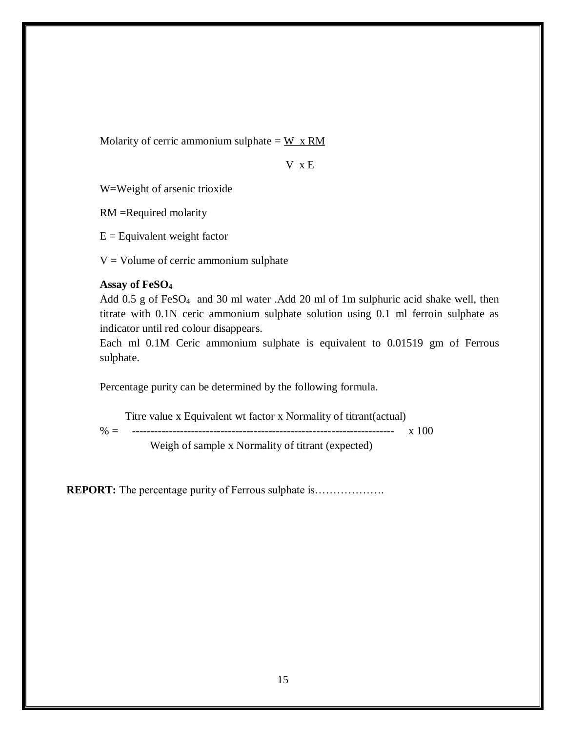Molarity of cerric ammonium sulphate =  $W \times RM$ 

V x E

W=Weight of arsenic trioxide

RM =Required molarity

 $E =$  Equivalent weight factor

 $V =$  Volume of cerric ammonium sulphate

#### **Assay of FeSO<sup>4</sup>**

Add 0.5 g of FeSO<sub>4</sub> and 30 ml water .Add 20 ml of 1m sulphuric acid shake well, then titrate with 0.1N ceric ammonium sulphate solution using 0.1 ml ferroin sulphate as indicator until red colour disappears.

Each ml 0.1M Ceric ammonium sulphate is equivalent to 0.01519 gm of Ferrous sulphate.

Percentage purity can be determined by the following formula.

 Titre value x Equivalent wt factor x Normality of titrant(actual) % = ----------------------------------------------------------------------- x 100 Weigh of sample x Normality of titrant (expected)

**REPORT:** The percentage purity of Ferrous sulphate is………………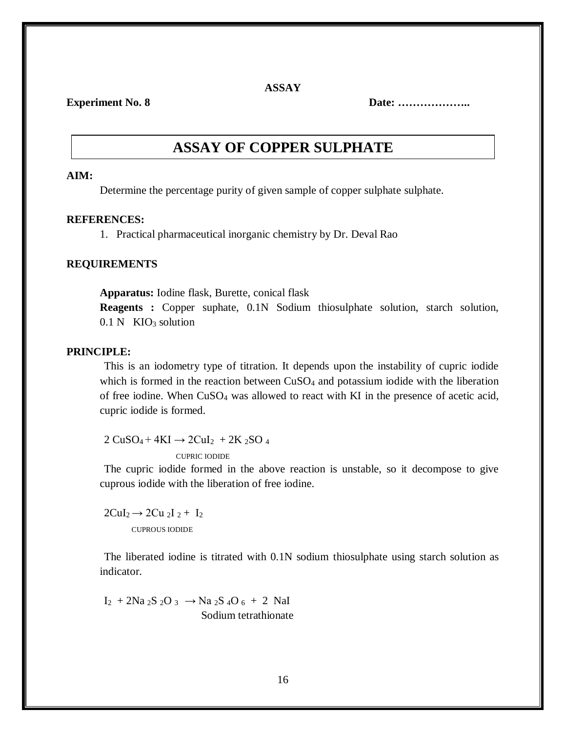**ASSAY**

**Experiment No. 8 Date: ………………..**

# **ASSAY OF COPPER SULPHATE**

#### **AIM:**

Determine the percentage purity of given sample of copper sulphate sulphate.

#### **REFERENCES:**

1. Practical pharmaceutical inorganic chemistry by Dr. Deval Rao

#### **REQUIREMENTS**

**Apparatus:** Iodine flask, Burette, conical flask

**Reagents :** Copper suphate, 0.1N Sodium thiosulphate solution, starch solution,  $0.1 \text{ N}$  KIO<sub>3</sub> solution

#### **PRINCIPLE:**

This is an iodometry type of titration. It depends upon the instability of cupric iodide which is formed in the reaction between  $CuSO<sub>4</sub>$  and potassium iodide with the liberation of free iodine. When CuSO<sup>4</sup> was allowed to react with KI in the presence of acetic acid, cupric iodide is formed.

 $2 \text{CuSO}_4 + 4 \text{KI} \rightarrow 2 \text{CuI}_2 + 2 \text{K}_2 \text{SO}_4$ CUPRIC IODIDE

The cupric iodide formed in the above reaction is unstable, so it decompose to give cuprous iodide with the liberation of free iodine.

 $2CuI_2 \rightarrow 2Cu_2I_2 + I_2$ CUPROUS IODIDE

The liberated iodine is titrated with 0.1N sodium thiosulphate using starch solution as indicator.

 $I_2$  + 2Na <sub>2</sub>S <sub>2</sub>O <sub>3</sub>  $\rightarrow$  Na <sub>2</sub>S <sub>4</sub>O <sub>6</sub> + 2 NaI Sodium tetrathionate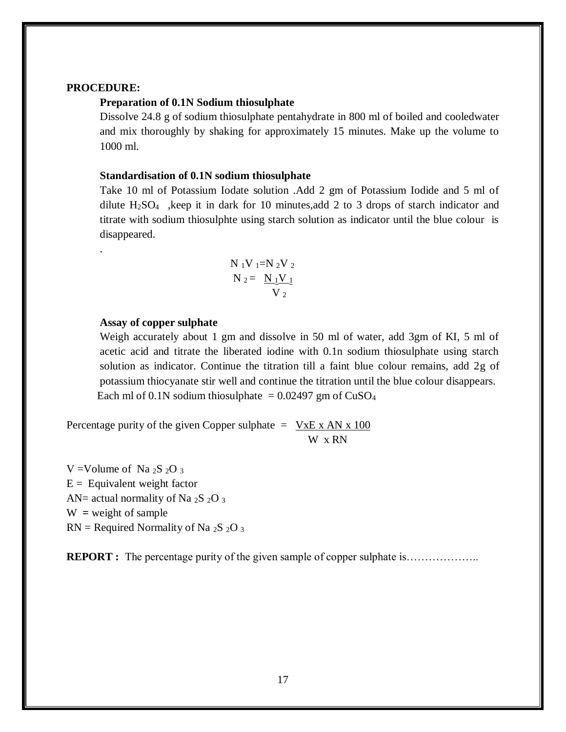#### **PROCEDURE:**

.

#### **Preparation of 0.1N Sodium thiosulphate**

Dissolve 24.8 g of sodium thiosulphate pentahydrate in 800 ml of boiled and cooledwater and mix thoroughly by shaking for approximately 15 minutes. Make up the volume to 1000 ml.

#### **Standardisation of 0.1N sodium thiosulphate**

Take 10 ml of Potassium Iodate solution .Add 2 gm of Potassium Iodide and 5 ml of dilute H2SO4 ,keep it in dark for 10 minutes,add 2 to 3 drops of starch indicator and titrate with sodium thiosulphte using starch solution as indicator until the blue colour is disappeared.

$$
N_1V_1=N_2V_2N_2 = N_1V_1V_2
$$

#### **Assay of copper sulphate**

Weigh accurately about 1 gm and dissolve in 50 ml of water, add 3gm of KI, 5 ml of acetic acid and titrate the liberated iodine with 0.1n sodium thiosulphate using starch solution as indicator. Continue the titration till a faint blue colour remains, add 2g of potassium thiocyanate stir well and continue the titration until the blue colour disappears. Each ml of 0.1N sodium thiosulphate  $= 0.02497$  gm of CuSO<sub>4</sub>

Percentage purity of the given Copper sulphate  $=$  VxE x AN x 100 W x RN

V = Volume of Na  $2S$   $2Q$  3  $E =$  Equivalent weight factor AN= actual normality of Na  $2S$   $2O_3$  $W = weight of sample$  $RN = Required Normality of Na<sub>2</sub>S<sub>2</sub>O<sub>3</sub>$ 

**REPORT** : The percentage purity of the given sample of copper sulphate is…………………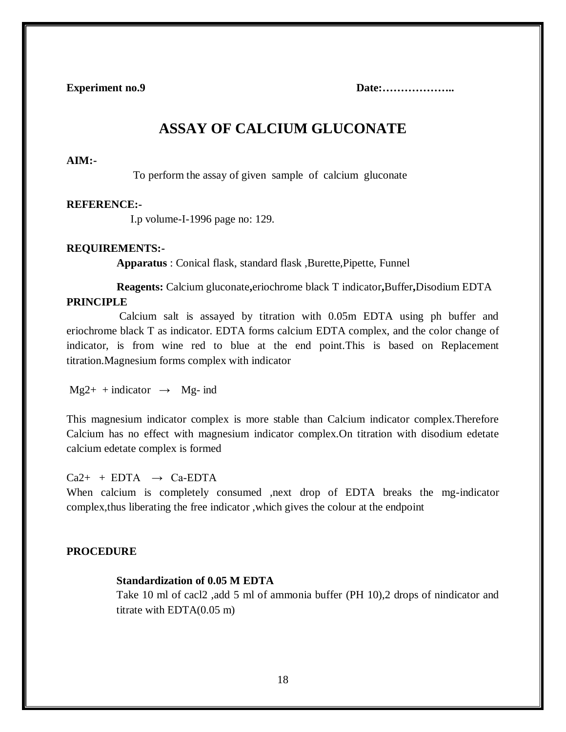**Experiment no.9 Date:………………..**

# **ASSAY OF CALCIUM GLUCONATE**

#### **AIM:-**

To perform the assay of given sample of calcium gluconate

#### **REFERENCE:-**

I.p volume-I-1996 page no: 129.

#### **REQUIREMENTS:-**

**Apparatus** : Conical flask, standard flask ,Burette,Pipette, Funnel

 **Reagents:** Calcium gluconate**,**eriochrome black T indicator**,**Buffer**,**Disodium EDTA **PRINCIPLE**

 Calcium salt is assayed by titration with 0.05m EDTA using ph buffer and eriochrome black T as indicator. EDTA forms calcium EDTA complex, and the color change of indicator, is from wine red to blue at the end point.This is based on Replacement titration.Magnesium forms complex with indicator

 $Mg2+$  + indicator  $\rightarrow$  Mg- ind

This magnesium indicator complex is more stable than Calcium indicator complex.Therefore Calcium has no effect with magnesium indicator complex.On titration with disodium edetate calcium edetate complex is formed

 $Ca2+ + EDTA \rightarrow Ca-EDTA$ 

When calcium is completely consumed ,next drop of EDTA breaks the mg-indicator complex,thus liberating the free indicator ,which gives the colour at the endpoint

#### **PROCEDURE**

#### **Standardization of 0.05 M EDTA**

Take 10 ml of cacl2 ,add 5 ml of ammonia buffer (PH 10),2 drops of nindicator and titrate with EDTA(0.05 m)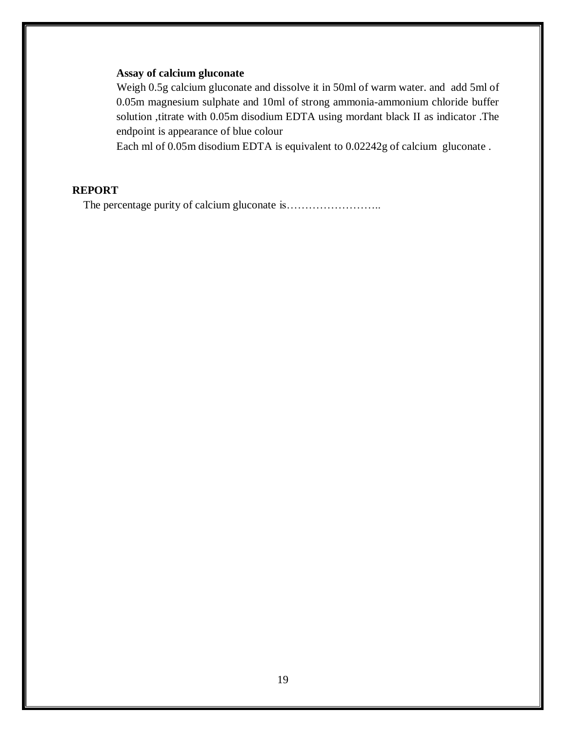#### **Assay of calcium gluconate**

 Weigh 0.5g calcium gluconate and dissolve it in 50ml of warm water. and add 5ml of 0.05m magnesium sulphate and 10ml of strong ammonia-ammonium chloride buffer solution ,titrate with 0.05m disodium EDTA using mordant black II as indicator .The endpoint is appearance of blue colour

Each ml of 0.05m disodium EDTA is equivalent to 0.02242g of calcium gluconate .

#### **REPORT**

The percentage purity of calcium gluconate is……………………..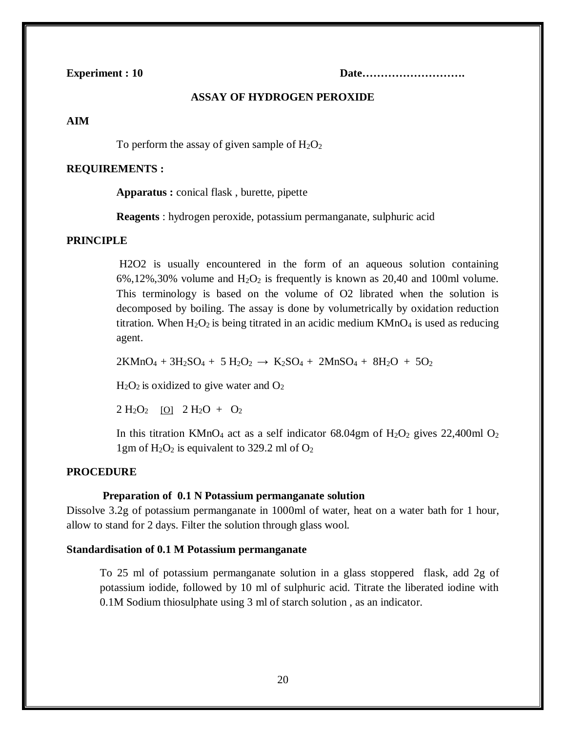**Experiment : 10 Date……………………….**

#### **ASSAY OF HYDROGEN PEROXIDE**

#### **AIM**

To perform the assay of given sample of  $H_2O_2$ 

#### **REQUIREMENTS :**

**Apparatus :** conical flask , burette, pipette

**Reagents** : hydrogen peroxide, potassium permanganate, sulphuric acid

#### **PRINCIPLE**

H2O2 is usually encountered in the form of an aqueous solution containing  $6\%,12\%,30\%$  volume and  $H_2O_2$  is frequently is known as 20,40 and 100ml volume. This terminology is based on the volume of O2 librated when the solution is decomposed by boiling. The assay is done by volumetrically by oxidation reduction titration. When  $H_2O_2$  is being titrated in an acidic medium  $KMnO_4$  is used as reducing agent.

 $2KMnO_4 + 3H_2SO_4 + 5H_2O_2 \rightarrow K_2SO_4 + 2MnSO_4 + 8H_2O + 5O_2$ 

 $H<sub>2</sub>O<sub>2</sub>$  is oxidized to give water and  $O<sub>2</sub>$ 

 $2 \text{ H}_2\text{O}_2$  [O]  $2 \text{ H}_2\text{O} + \text{O}_2$ 

In this titration KMnO<sub>4</sub> act as a self indicator  $68.04$ gm of H<sub>2</sub>O<sub>2</sub> gives 22,400ml O<sub>2</sub> 1gm of  $H_2O_2$  is equivalent to 329.2 ml of  $O_2$ 

#### **PROCEDURE**

#### **Preparation of 0.1 N Potassium permanganate solution**

Dissolve 3.2g of potassium permanganate in 1000ml of water, heat on a water bath for 1 hour, allow to stand for 2 days. Filter the solution through glass wool.

#### **Standardisation of 0.1 M Potassium permanganate**

To 25 ml of potassium permanganate solution in a glass stoppered flask, add 2g of potassium iodide, followed by 10 ml of sulphuric acid. Titrate the liberated iodine with 0.1M Sodium thiosulphate using 3 ml of starch solution , as an indicator.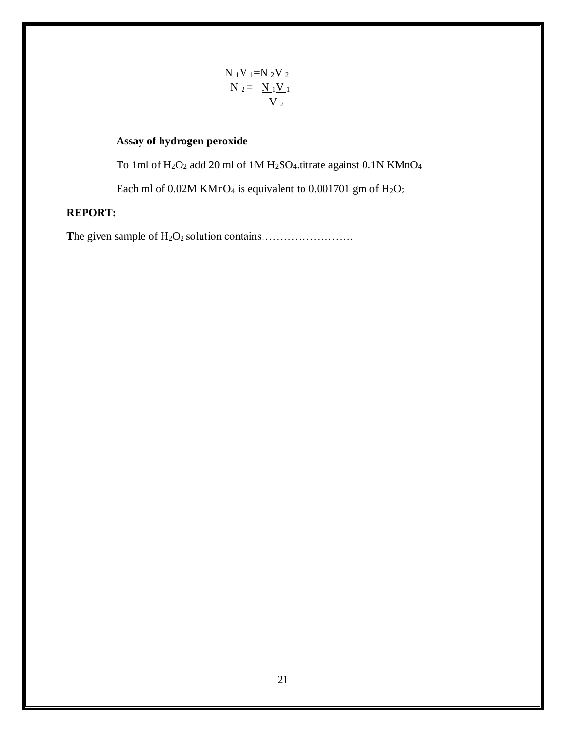$$
N_1V_1=N_2V_2
$$
  

$$
N_2 = N_1V_1
$$
  

$$
V_2
$$

### **Assay of hydrogen peroxide**

To 1ml of H2O<sup>2</sup> add 20 ml of 1M H2SO4.titrate against 0.1N KMnO<sup>4</sup>

Each ml of 0.02M KMnO<sub>4</sub> is equivalent to 0.001701 gm of  $H_2O_2$ 

### **REPORT:**

**T**he given sample of H2O<sup>2</sup> solution contains…………………….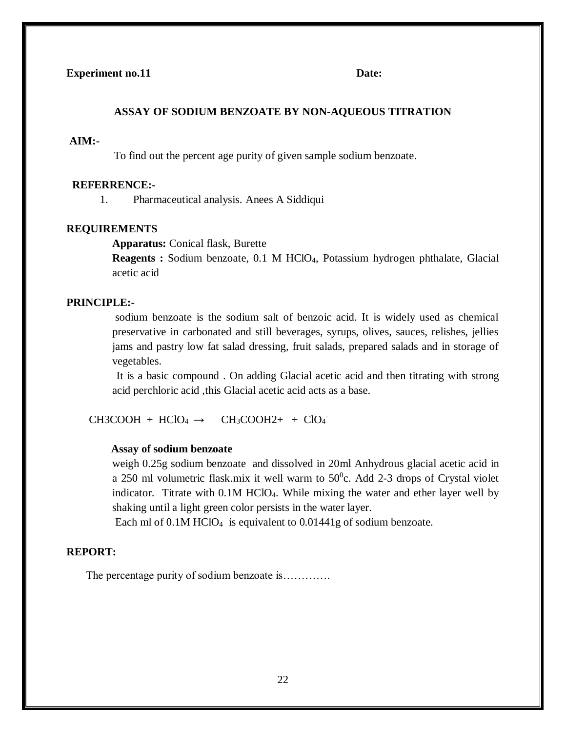#### **ASSAY OF SODIUM BENZOATE BY NON-AQUEOUS TITRATION**

#### **AIM:-**

To find out the percent age purity of given sample sodium benzoate.

#### **REFERRENCE:-**

1. Pharmaceutical analysis. Anees A Siddiqui

#### **REQUIREMENTS**

**Apparatus:** Conical flask, Burette

**Reagents :** Sodium benzoate, 0.1 M HClO4, Potassium hydrogen phthalate, Glacial acetic acid

#### **PRINCIPLE:-**

sodium benzoate is the sodium salt of benzoic acid. It is widely used as chemical preservative in carbonated and still beverages, syrups, olives, sauces, relishes, jellies jams and pastry low fat salad dressing, fruit salads, prepared salads and in storage of vegetables.

It is a basic compound . On adding Glacial acetic acid and then titrating with strong acid perchloric acid ,this Glacial acetic acid acts as a base.

 $CH3COOH + HClO<sub>4</sub> \rightarrow$  $CH_3COOH2+ + ClO_4$ 

#### **Assay of sodium benzoate**

weigh 0.25g sodium benzoate and dissolved in 20ml Anhydrous glacial acetic acid in a 250 ml volumetric flask.mix it well warm to  $50^{\circ}$ c. Add 2-3 drops of Crystal violet indicator. Titrate with 0.1M HClO4. While mixing the water and ether layer well by shaking until a light green color persists in the water layer.

Each ml of 0.1M HClO<sub>4</sub> is equivalent to 0.01441g of sodium benzoate.

#### **REPORT:**

The percentage purity of sodium benzoate is………….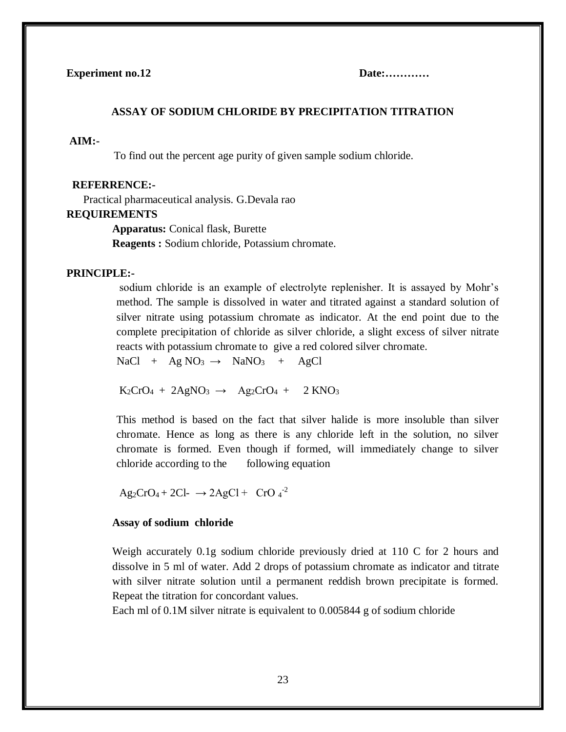#### **ASSAY OF SODIUM CHLORIDE BY PRECIPITATION TITRATION**

#### **AIM:-**

To find out the percent age purity of given sample sodium chloride.

#### **REFERRENCE:-**

Practical pharmaceutical analysis. G.Devala rao

#### **REQUIREMENTS**

**Apparatus:** Conical flask, Burette

**Reagents :** Sodium chloride, Potassium chromate.

#### **PRINCIPLE:-**

sodium chloride is an example of electrolyte replenisher. It is assayed by Mohr's method. The sample is dissolved in water and titrated against a standard solution of silver nitrate using potassium chromate as indicator. At the end point due to the complete precipitation of chloride as silver chloride, a slight excess of silver nitrate reacts with potassium chromate to give a red colored silver chromate.

 $NaCl + Ag NO<sub>3</sub> \rightarrow NaNO<sub>3</sub> + AgCl$ 

 $K_2CrO_4 + 2AgNO_3 \rightarrow Ag_2CrO_4 + 2KNO_3$ 

This method is based on the fact that silver halide is more insoluble than silver chromate. Hence as long as there is any chloride left in the solution, no silver chromate is formed. Even though if formed, will immediately change to silver chloride according to the following equation

 $\text{Ag}_2\text{CrO}_4 + 2\text{Cl}$ -  $\rightarrow$  2AgCl + CrO  $4^{-2}$ 

#### **Assay of sodium chloride**

Weigh accurately 0.1g sodium chloride previously dried at 110 C for 2 hours and dissolve in 5 ml of water. Add 2 drops of potassium chromate as indicator and titrate with silver nitrate solution until a permanent reddish brown precipitate is formed. Repeat the titration for concordant values.

Each ml of 0.1M silver nitrate is equivalent to 0.005844 g of sodium chloride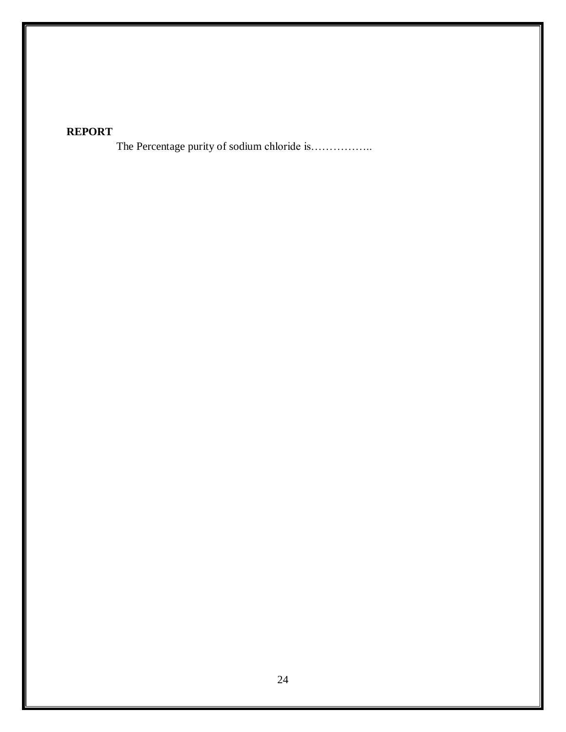## **REPORT**

The Percentage purity of sodium chloride is……………..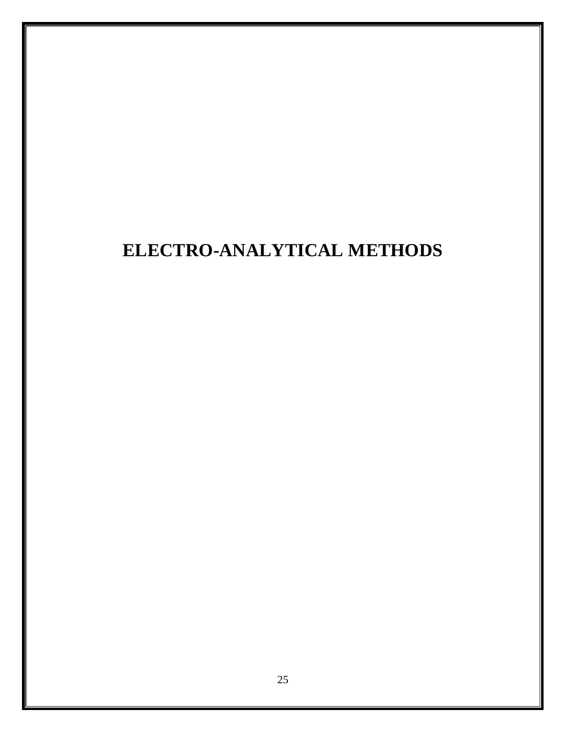# **ELECTRO-ANALYTICAL METHODS**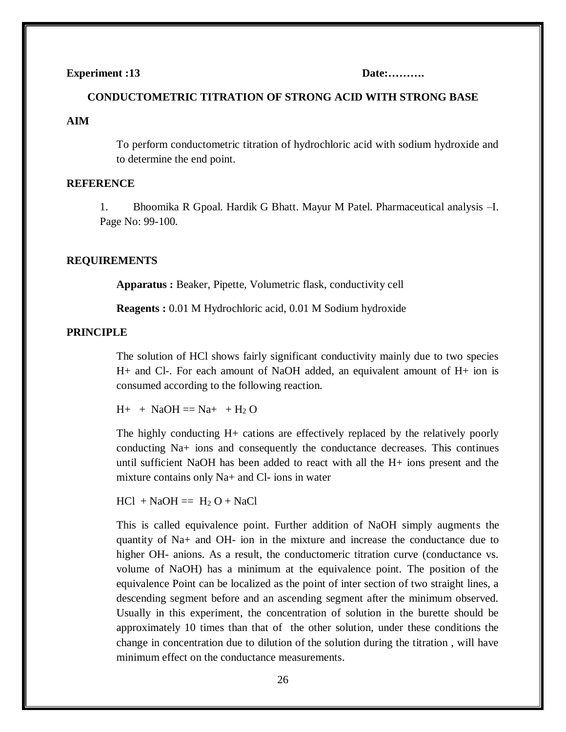#### **Experiment :13** Date:..........

# **CONDUCTOMETRIC TITRATION OF STRONG ACID WITH STRONG BASE AIM**

To perform conductometric titration of hydrochloric acid with sodium hydroxide and to determine the end point.

#### **REFERENCE**

1. Bhoomika R Gpoal. Hardik G Bhatt. Mayur M Patel. Pharmaceutical analysis –I. Page No: 99-100.

#### **REQUIREMENTS**

**Apparatus :** Beaker, Pipette, Volumetric flask, conductivity cell

**Reagents :** 0.01 M Hydrochloric acid, 0.01 M Sodium hydroxide

#### **PRINCIPLE**

The solution of HCl shows fairly significant conductivity mainly due to two species H+ and Cl-. For each amount of NaOH added, an equivalent amount of H+ ion is consumed according to the following reaction.

 $H_{+}$  + NaOH == Na+ + H<sub>2</sub> O

The highly conducting H+ cations are effectively replaced by the relatively poorly conducting Na+ ions and consequently the conductance decreases. This continues until sufficient NaOH has been added to react with all the H+ ions present and the mixture contains only Na+ and Cl- ions in water

 $HCl + NaOH = H<sub>2</sub> O + NaCl$ 

This is called equivalence point. Further addition of NaOH simply augments the quantity of Na+ and OH- ion in the mixture and increase the conductance due to higher OH- anions. As a result, the conductomeric titration curve (conductance vs. volume of NaOH) has a minimum at the equivalence point. The position of the equivalence Point can be localized as the point of inter section of two straight lines, a descending segment before and an ascending segment after the minimum observed. Usually in this experiment, the concentration of solution in the burette should be approximately 10 times than that of the other solution, under these conditions the change in concentration due to dilution of the solution during the titration , will have minimum effect on the conductance measurements.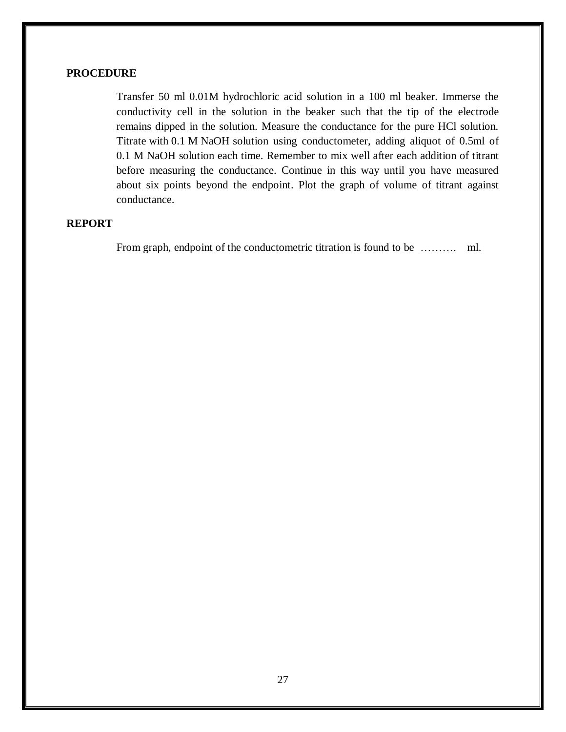#### **PROCEDURE**

Transfer 50 ml 0.01M hydrochloric acid solution in a 100 ml beaker. Immerse the conductivity cell in the solution in the beaker such that the tip of the electrode remains dipped in the solution. Measure the conductance for the pure HCl solution. Titrate with 0.1 M NaOH solution using conductometer, adding aliquot of 0.5ml of 0.1 M NaOH solution each time. Remember to mix well after each addition of titrant before measuring the conductance. Continue in this way until you have measured about six points beyond the endpoint. Plot the graph of volume of titrant against conductance.

#### **REPORT**

From graph, endpoint of the conductometric titration is found to be ……….. ml.